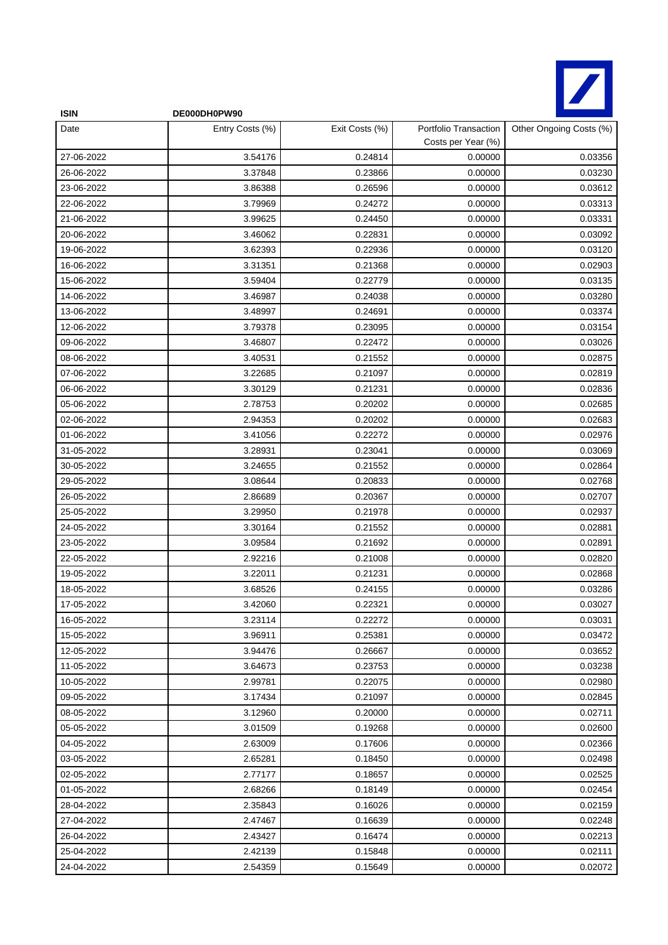

| <b>ISIN</b> | DE000DH0PW90    |                |                                             |                         |
|-------------|-----------------|----------------|---------------------------------------------|-------------------------|
| Date        | Entry Costs (%) | Exit Costs (%) | Portfolio Transaction<br>Costs per Year (%) | Other Ongoing Costs (%) |
| 27-06-2022  | 3.54176         | 0.24814        | 0.00000                                     | 0.03356                 |
| 26-06-2022  | 3.37848         | 0.23866        | 0.00000                                     | 0.03230                 |
| 23-06-2022  | 3.86388         | 0.26596        | 0.00000                                     | 0.03612                 |
| 22-06-2022  | 3.79969         | 0.24272        | 0.00000                                     | 0.03313                 |
| 21-06-2022  | 3.99625         | 0.24450        | 0.00000                                     | 0.03331                 |
| 20-06-2022  | 3.46062         | 0.22831        | 0.00000                                     | 0.03092                 |
| 19-06-2022  | 3.62393         | 0.22936        | 0.00000                                     | 0.03120                 |
| 16-06-2022  | 3.31351         | 0.21368        | 0.00000                                     | 0.02903                 |
| 15-06-2022  | 3.59404         | 0.22779        | 0.00000                                     | 0.03135                 |
| 14-06-2022  | 3.46987         | 0.24038        | 0.00000                                     | 0.03280                 |
| 13-06-2022  | 3.48997         | 0.24691        | 0.00000                                     | 0.03374                 |
| 12-06-2022  | 3.79378         | 0.23095        | 0.00000                                     | 0.03154                 |
| 09-06-2022  | 3.46807         | 0.22472        | 0.00000                                     | 0.03026                 |
| 08-06-2022  | 3.40531         | 0.21552        | 0.00000                                     | 0.02875                 |
| 07-06-2022  | 3.22685         | 0.21097        | 0.00000                                     | 0.02819                 |
| 06-06-2022  | 3.30129         | 0.21231        | 0.00000                                     | 0.02836                 |
| 05-06-2022  | 2.78753         | 0.20202        | 0.00000                                     | 0.02685                 |
| 02-06-2022  | 2.94353         | 0.20202        | 0.00000                                     | 0.02683                 |
| 01-06-2022  | 3.41056         | 0.22272        | 0.00000                                     | 0.02976                 |
| 31-05-2022  | 3.28931         | 0.23041        | 0.00000                                     | 0.03069                 |
| 30-05-2022  | 3.24655         | 0.21552        | 0.00000                                     | 0.02864                 |
| 29-05-2022  | 3.08644         | 0.20833        | 0.00000                                     | 0.02768                 |
| 26-05-2022  | 2.86689         | 0.20367        | 0.00000                                     | 0.02707                 |
| 25-05-2022  | 3.29950         | 0.21978        | 0.00000                                     | 0.02937                 |
| 24-05-2022  | 3.30164         | 0.21552        | 0.00000                                     | 0.02881                 |
| 23-05-2022  | 3.09584         | 0.21692        | 0.00000                                     | 0.02891                 |
| 22-05-2022  | 2.92216         | 0.21008        | 0.00000                                     | 0.02820                 |
| 19-05-2022  | 3.22011         | 0.21231        | 0.00000                                     | 0.02868                 |
| 18-05-2022  | 3.68526         | 0.24155        | 0.00000                                     | 0.03286                 |
| 17-05-2022  | 3.42060         | 0.22321        | 0.00000                                     | 0.03027                 |
| 16-05-2022  | 3.23114         | 0.22272        | 0.00000                                     | 0.03031                 |
| 15-05-2022  | 3.96911         | 0.25381        | 0.00000                                     | 0.03472                 |
| 12-05-2022  | 3.94476         | 0.26667        | 0.00000                                     | 0.03652                 |
| 11-05-2022  | 3.64673         | 0.23753        | 0.00000                                     | 0.03238                 |
| 10-05-2022  | 2.99781         | 0.22075        | 0.00000                                     | 0.02980                 |
| 09-05-2022  | 3.17434         | 0.21097        | 0.00000                                     | 0.02845                 |
| 08-05-2022  | 3.12960         | 0.20000        | 0.00000                                     | 0.02711                 |
| 05-05-2022  | 3.01509         | 0.19268        | 0.00000                                     | 0.02600                 |
| 04-05-2022  | 2.63009         | 0.17606        | 0.00000                                     | 0.02366                 |
| 03-05-2022  | 2.65281         | 0.18450        | 0.00000                                     | 0.02498                 |
| 02-05-2022  | 2.77177         | 0.18657        | 0.00000                                     | 0.02525                 |
| 01-05-2022  | 2.68266         | 0.18149        | 0.00000                                     | 0.02454                 |
| 28-04-2022  | 2.35843         | 0.16026        | 0.00000                                     | 0.02159                 |
| 27-04-2022  | 2.47467         | 0.16639        | 0.00000                                     | 0.02248                 |
| 26-04-2022  | 2.43427         | 0.16474        | 0.00000                                     | 0.02213                 |
| 25-04-2022  | 2.42139         | 0.15848        | 0.00000                                     | 0.02111                 |
| 24-04-2022  | 2.54359         | 0.15649        | 0.00000                                     | 0.02072                 |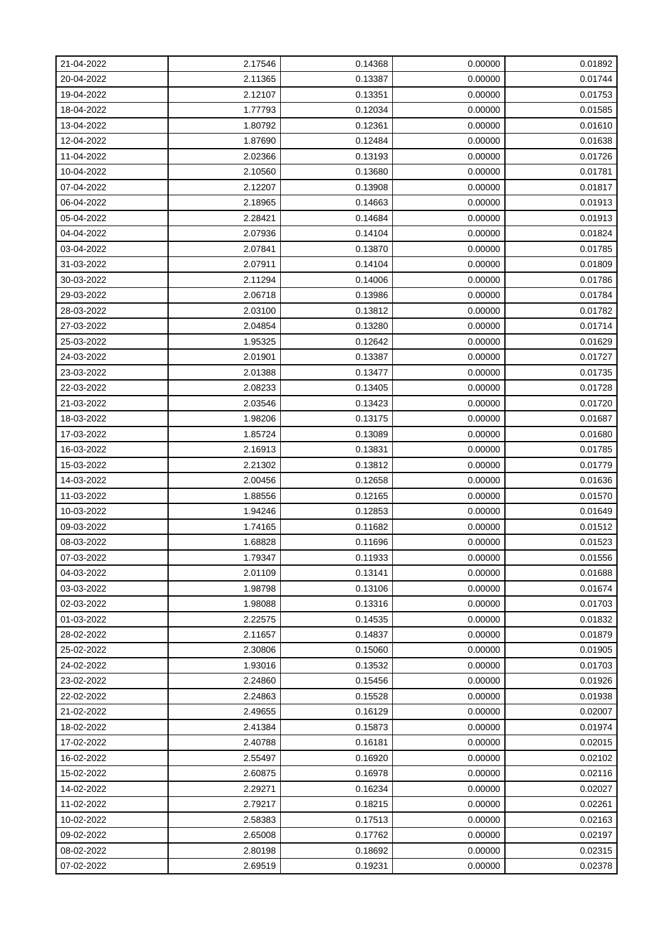| 21-04-2022 | 2.17546 | 0.14368 | 0.00000 | 0.01892 |
|------------|---------|---------|---------|---------|
| 20-04-2022 | 2.11365 | 0.13387 | 0.00000 | 0.01744 |
| 19-04-2022 | 2.12107 | 0.13351 | 0.00000 | 0.01753 |
| 18-04-2022 | 1.77793 | 0.12034 | 0.00000 | 0.01585 |
| 13-04-2022 | 1.80792 | 0.12361 | 0.00000 | 0.01610 |
| 12-04-2022 | 1.87690 | 0.12484 | 0.00000 | 0.01638 |
| 11-04-2022 | 2.02366 | 0.13193 | 0.00000 | 0.01726 |
| 10-04-2022 | 2.10560 | 0.13680 | 0.00000 | 0.01781 |
| 07-04-2022 | 2.12207 | 0.13908 | 0.00000 | 0.01817 |
| 06-04-2022 | 2.18965 | 0.14663 | 0.00000 | 0.01913 |
| 05-04-2022 | 2.28421 | 0.14684 | 0.00000 | 0.01913 |
| 04-04-2022 | 2.07936 | 0.14104 | 0.00000 | 0.01824 |
| 03-04-2022 | 2.07841 | 0.13870 | 0.00000 | 0.01785 |
| 31-03-2022 | 2.07911 | 0.14104 | 0.00000 | 0.01809 |
| 30-03-2022 | 2.11294 | 0.14006 | 0.00000 | 0.01786 |
| 29-03-2022 | 2.06718 | 0.13986 | 0.00000 | 0.01784 |
| 28-03-2022 | 2.03100 | 0.13812 | 0.00000 | 0.01782 |
| 27-03-2022 | 2.04854 | 0.13280 | 0.00000 | 0.01714 |
| 25-03-2022 | 1.95325 | 0.12642 | 0.00000 | 0.01629 |
| 24-03-2022 | 2.01901 | 0.13387 | 0.00000 | 0.01727 |
| 23-03-2022 | 2.01388 | 0.13477 | 0.00000 | 0.01735 |
| 22-03-2022 | 2.08233 | 0.13405 | 0.00000 | 0.01728 |
| 21-03-2022 | 2.03546 | 0.13423 | 0.00000 | 0.01720 |
| 18-03-2022 | 1.98206 | 0.13175 | 0.00000 | 0.01687 |
| 17-03-2022 | 1.85724 | 0.13089 | 0.00000 | 0.01680 |
| 16-03-2022 | 2.16913 | 0.13831 | 0.00000 | 0.01785 |
| 15-03-2022 | 2.21302 | 0.13812 | 0.00000 | 0.01779 |
| 14-03-2022 | 2.00456 | 0.12658 | 0.00000 | 0.01636 |
| 11-03-2022 | 1.88556 | 0.12165 | 0.00000 | 0.01570 |
| 10-03-2022 | 1.94246 | 0.12853 | 0.00000 | 0.01649 |
| 09-03-2022 | 1.74165 | 0.11682 | 0.00000 | 0.01512 |
| 08-03-2022 | 1.68828 | 0.11696 | 0.00000 | 0.01523 |
| 07-03-2022 | 1.79347 | 0.11933 | 0.00000 | 0.01556 |
| 04-03-2022 | 2.01109 | 0.13141 | 0.00000 | 0.01688 |
| 03-03-2022 | 1.98798 | 0.13106 | 0.00000 | 0.01674 |
| 02-03-2022 | 1.98088 | 0.13316 | 0.00000 | 0.01703 |
| 01-03-2022 | 2.22575 | 0.14535 | 0.00000 | 0.01832 |
| 28-02-2022 | 2.11657 | 0.14837 | 0.00000 | 0.01879 |
| 25-02-2022 | 2.30806 | 0.15060 | 0.00000 | 0.01905 |
| 24-02-2022 | 1.93016 | 0.13532 | 0.00000 | 0.01703 |
| 23-02-2022 | 2.24860 | 0.15456 | 0.00000 | 0.01926 |
| 22-02-2022 | 2.24863 | 0.15528 | 0.00000 | 0.01938 |
| 21-02-2022 | 2.49655 | 0.16129 | 0.00000 | 0.02007 |
| 18-02-2022 | 2.41384 | 0.15873 | 0.00000 | 0.01974 |
| 17-02-2022 | 2.40788 | 0.16181 | 0.00000 | 0.02015 |
| 16-02-2022 | 2.55497 | 0.16920 | 0.00000 | 0.02102 |
| 15-02-2022 | 2.60875 | 0.16978 | 0.00000 | 0.02116 |
| 14-02-2022 | 2.29271 | 0.16234 | 0.00000 | 0.02027 |
| 11-02-2022 | 2.79217 | 0.18215 | 0.00000 | 0.02261 |
| 10-02-2022 | 2.58383 | 0.17513 | 0.00000 | 0.02163 |
| 09-02-2022 | 2.65008 | 0.17762 | 0.00000 | 0.02197 |
| 08-02-2022 | 2.80198 | 0.18692 | 0.00000 | 0.02315 |
| 07-02-2022 | 2.69519 | 0.19231 | 0.00000 | 0.02378 |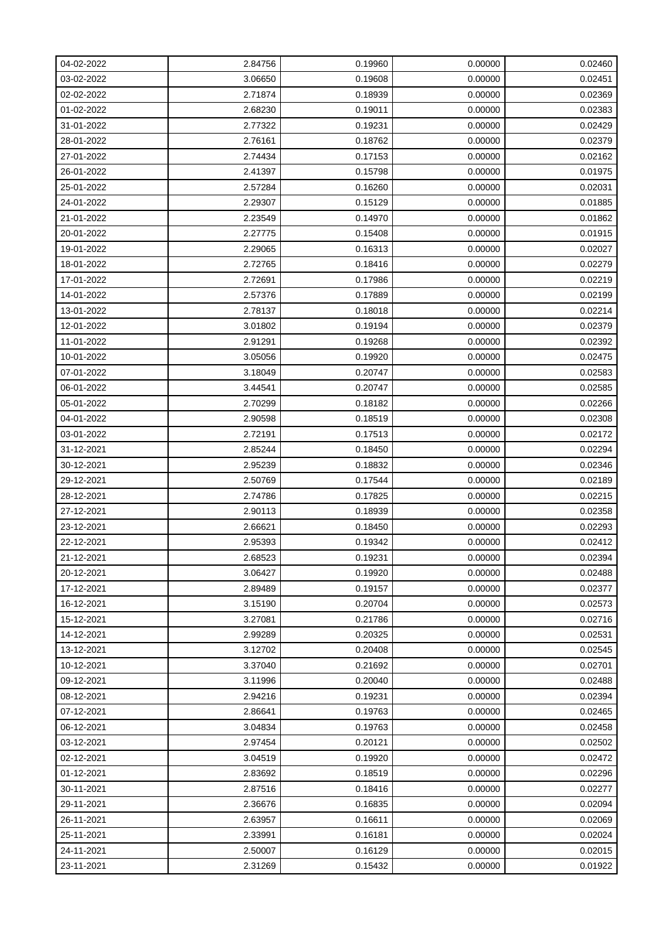| 04-02-2022 | 2.84756 | 0.19960 | 0.00000 | 0.02460 |
|------------|---------|---------|---------|---------|
| 03-02-2022 | 3.06650 | 0.19608 | 0.00000 | 0.02451 |
| 02-02-2022 | 2.71874 | 0.18939 | 0.00000 | 0.02369 |
| 01-02-2022 | 2.68230 | 0.19011 | 0.00000 | 0.02383 |
| 31-01-2022 | 2.77322 | 0.19231 | 0.00000 | 0.02429 |
| 28-01-2022 | 2.76161 | 0.18762 | 0.00000 | 0.02379 |
| 27-01-2022 | 2.74434 | 0.17153 | 0.00000 | 0.02162 |
| 26-01-2022 | 2.41397 | 0.15798 | 0.00000 | 0.01975 |
| 25-01-2022 | 2.57284 | 0.16260 | 0.00000 | 0.02031 |
| 24-01-2022 | 2.29307 | 0.15129 | 0.00000 | 0.01885 |
| 21-01-2022 | 2.23549 | 0.14970 | 0.00000 | 0.01862 |
| 20-01-2022 | 2.27775 | 0.15408 | 0.00000 | 0.01915 |
| 19-01-2022 | 2.29065 | 0.16313 | 0.00000 | 0.02027 |
| 18-01-2022 | 2.72765 | 0.18416 | 0.00000 | 0.02279 |
| 17-01-2022 | 2.72691 | 0.17986 | 0.00000 | 0.02219 |
| 14-01-2022 | 2.57376 | 0.17889 | 0.00000 | 0.02199 |
| 13-01-2022 | 2.78137 | 0.18018 | 0.00000 | 0.02214 |
| 12-01-2022 | 3.01802 | 0.19194 | 0.00000 | 0.02379 |
| 11-01-2022 | 2.91291 | 0.19268 | 0.00000 | 0.02392 |
| 10-01-2022 | 3.05056 | 0.19920 | 0.00000 | 0.02475 |
| 07-01-2022 | 3.18049 | 0.20747 | 0.00000 | 0.02583 |
| 06-01-2022 | 3.44541 | 0.20747 | 0.00000 | 0.02585 |
| 05-01-2022 | 2.70299 | 0.18182 | 0.00000 | 0.02266 |
| 04-01-2022 | 2.90598 | 0.18519 | 0.00000 | 0.02308 |
| 03-01-2022 | 2.72191 | 0.17513 | 0.00000 | 0.02172 |
| 31-12-2021 | 2.85244 | 0.18450 | 0.00000 | 0.02294 |
| 30-12-2021 | 2.95239 | 0.18832 | 0.00000 | 0.02346 |
| 29-12-2021 | 2.50769 | 0.17544 | 0.00000 | 0.02189 |
| 28-12-2021 | 2.74786 | 0.17825 | 0.00000 | 0.02215 |
| 27-12-2021 | 2.90113 | 0.18939 | 0.00000 | 0.02358 |
| 23-12-2021 | 2.66621 | 0.18450 | 0.00000 | 0.02293 |
| 22-12-2021 | 2.95393 | 0.19342 | 0.00000 | 0.02412 |
| 21-12-2021 | 2.68523 | 0.19231 | 0.00000 | 0.02394 |
| 20-12-2021 | 3.06427 | 0.19920 | 0.00000 | 0.02488 |
| 17-12-2021 | 2.89489 | 0.19157 | 0.00000 | 0.02377 |
| 16-12-2021 | 3.15190 | 0.20704 | 0.00000 | 0.02573 |
| 15-12-2021 | 3.27081 | 0.21786 | 0.00000 | 0.02716 |
| 14-12-2021 | 2.99289 | 0.20325 | 0.00000 | 0.02531 |
| 13-12-2021 | 3.12702 | 0.20408 | 0.00000 | 0.02545 |
| 10-12-2021 | 3.37040 | 0.21692 | 0.00000 | 0.02701 |
| 09-12-2021 | 3.11996 | 0.20040 | 0.00000 | 0.02488 |
| 08-12-2021 | 2.94216 | 0.19231 | 0.00000 | 0.02394 |
| 07-12-2021 | 2.86641 | 0.19763 | 0.00000 | 0.02465 |
| 06-12-2021 | 3.04834 | 0.19763 | 0.00000 | 0.02458 |
| 03-12-2021 | 2.97454 | 0.20121 | 0.00000 | 0.02502 |
| 02-12-2021 | 3.04519 | 0.19920 | 0.00000 | 0.02472 |
| 01-12-2021 | 2.83692 | 0.18519 | 0.00000 | 0.02296 |
| 30-11-2021 | 2.87516 | 0.18416 | 0.00000 | 0.02277 |
| 29-11-2021 | 2.36676 | 0.16835 | 0.00000 | 0.02094 |
| 26-11-2021 | 2.63957 | 0.16611 | 0.00000 | 0.02069 |
| 25-11-2021 | 2.33991 | 0.16181 | 0.00000 | 0.02024 |
| 24-11-2021 | 2.50007 | 0.16129 | 0.00000 | 0.02015 |
| 23-11-2021 | 2.31269 | 0.15432 | 0.00000 | 0.01922 |